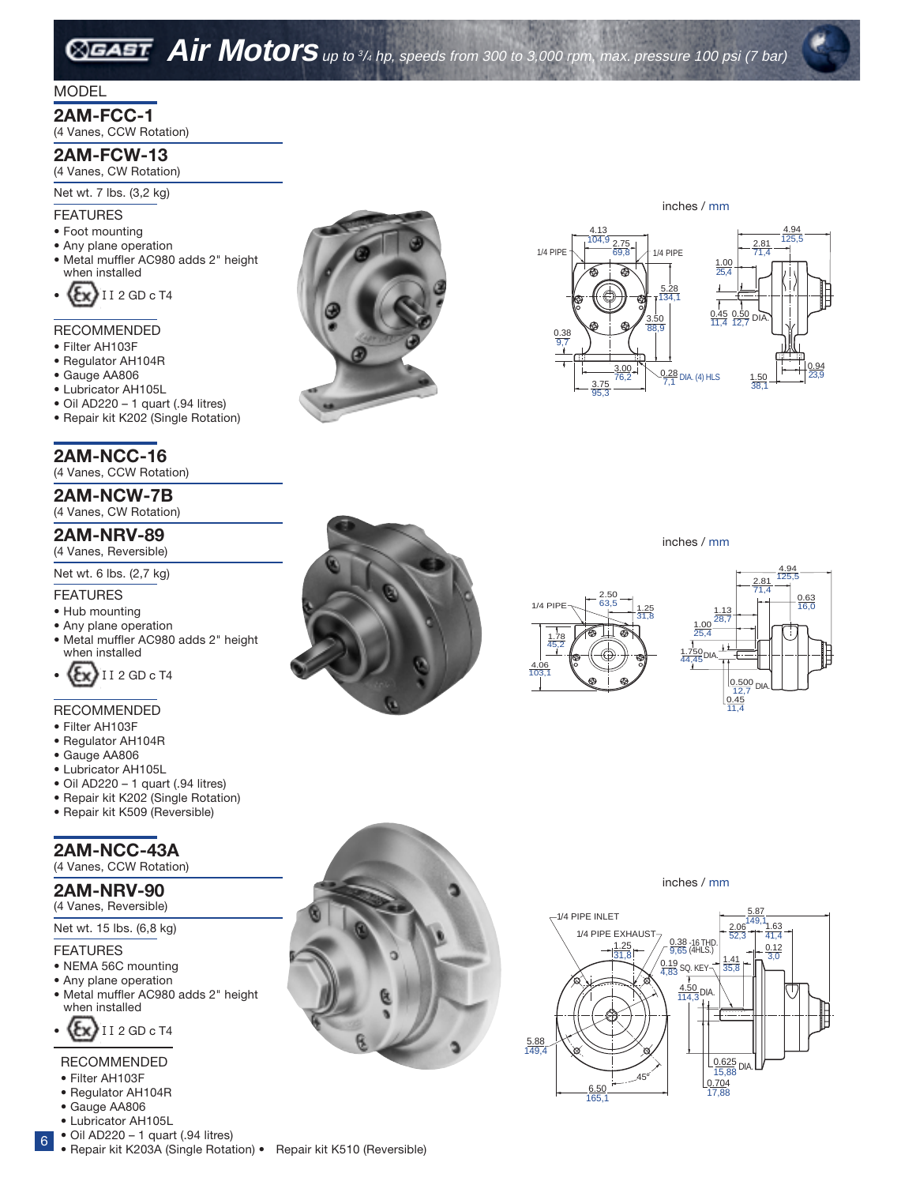# **Air Motors** up to 3/4 hp, speeds from 300 to 3,000 rpm, max. pressure 100 psi (7 bar)

## MODEL

# **2AM-FCC-1**

(4 Vanes, CCW Rotation)

# **2AM-FCW-13**

(4 Vanes, CW Rotation)

### Net wt. 7 lbs. (3,2 kg)

#### FEATURES

- Foot mounting
- Any plane operation
- Metal muffler AC980 adds 2" height when installed



### RECOMMENDED

- Filter AH103F
- Regulator AH104R
- Gauge AA806
- Lubricator AH105L
- Oil AD220 1 quart (.94 litres)
- Repair kit K202 (Single Rotation)

# **2AM-NCC-16**

(4 Vanes, CCW Rotation)

**2AM-NCW-7B** (4 Vanes, CW Rotation)

# **2AM-NRV-89**

# (4 Vanes, Reversible)

Net wt. 6 lbs. (2,7 kg)

### FEATURES

- Hub mounting
- Any plane operation
- Metal muffler AC980 adds 2" height when installed



### RECOMMENDED

- Filter AH103F
- Regulator AH104R
- Gauge AA806
- Lubricator AH105L
- Oil AD220 1 quart (.94 litres)
- Repair kit K202 (Single Rotation)
- Repair kit K509 (Reversible)

# **2AM-NCC-43A**

(4 Vanes, CCW Rotation)

# **2AM-NRV-90**

(4 Vanes, Reversible)

# Net wt. 15 lbs. (6,8 kg)

#### FEATURES

- NEMA 56C mounting
- Any plane operation
- Metal muffler AC980 adds 2" height when installed



### RECOMMENDED

- Filter AH103F
- Regulator AH104R
- Gauge AA806
- Lubricator AH105L
- $\bullet$  Oil AD220 1 quart (.94 litres)
- 
- 6



inches / mm





inches / mm







inches / mm